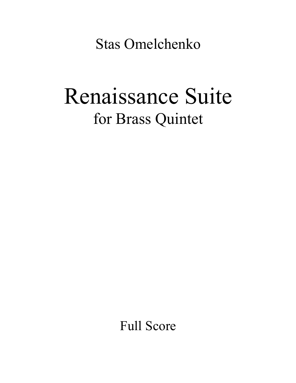Stas Omelchenko

## Renaissance Suite for Brass Quintet

Full Score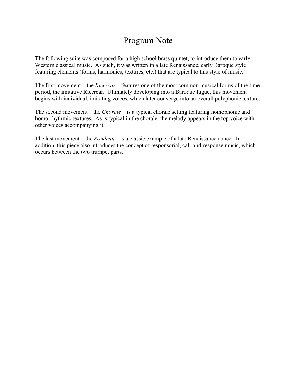## Program Note

The following suite was composed for a high school brass quintet, to introduce them to early Western classical music. As such, it was written in a late Renaissance, early Baroque style featuring elements (forms, harmonies, textures, etc.) that are typical to this style of music.

The first movement—the *Ricercar*—features one of the most common musical forms of the time period, the imitative Ricercar. Ultimately developing into a Baroque fugue, this movement begins with individual, imitating voices, which later converge into an overall polyphonic texture.

The second movement—the *Chorale*—is a typical chorale setting featuring homophonic and homo-rhythmic textures. As is typical in the chorale, the melody appears in the top voice with other voices accompanying it.

The last movement—the *Rondeau*—is a classic example of a late Renaissance dance. In addition, this piece also introduces the concept of responsorial, call-and-response music, which occurs between the two trumpet parts.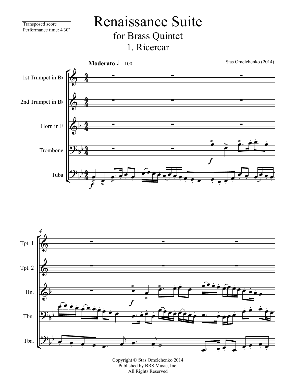Renaissance Suite for Brass Quintet 1. Ricercar





Copyright © Stas Omelchenko 2014 Published by BRS Music, Inc. All Rights Reserved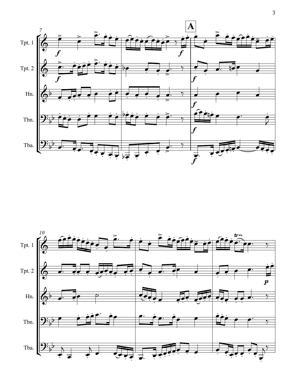

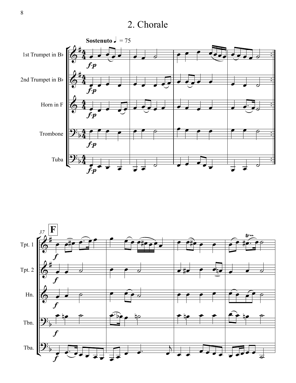## 2. Chorale



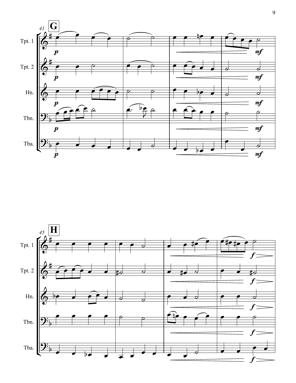

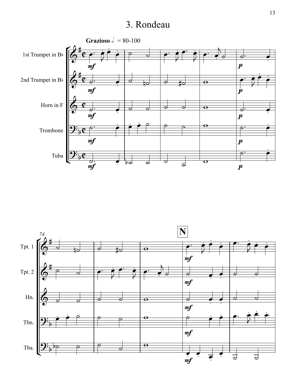## 3. Rondeau